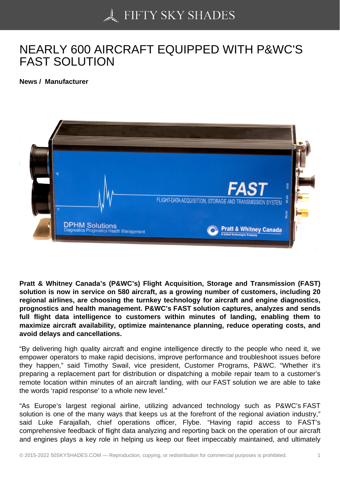## [NEARLY 600 AIRCRA](https://50skyshades.com)FT EQUIPPED WITH P&WC'S FAST SOLUTION

News / Manufacturer

Pratt & Whitney Canada's (P&WC's) Flight Acquisition, Storage and Transmission (FAST) solution is now in service on 580 aircraft, as a growing number of customers, including 20 regional airlines, are choosing the turnkey technology for aircraft and engine diagnostics, prognostics and health management. P&WC's FAST solution captures, analyzes and sends full flight data intelligence to customers within minutes of landing, enabling them to maximize aircraft availability, optimize maintenance planning, reduce operating costs, and avoid delays and cancellations.

"By delivering high quality aircraft and engine intelligence directly to the people who need it, we empower operators to make rapid decisions, improve performance and troubleshoot issues before they happen," said Timothy Swail, vice president, Customer Programs, P&WC. "Whether it's preparing a replacement part for distribution or dispatching a mobile repair team to a customer's remote location within minutes of an aircraft landing, with our FAST solution we are able to take the words 'rapid response' to a whole new level."

"As Europe's largest regional airline, utilizing advanced technology such as P&WC's FAST solution is one of the many ways that keeps us at the forefront of the regional aviation industry," said Luke Farajallah, chief operations officer, Flybe. "Having rapid access to FAST's comprehensive feedback of flight data analyzing and reporting back on the operation of our aircraft and engines plays a key role in helping us keep our fleet impeccably maintained, and ultimately